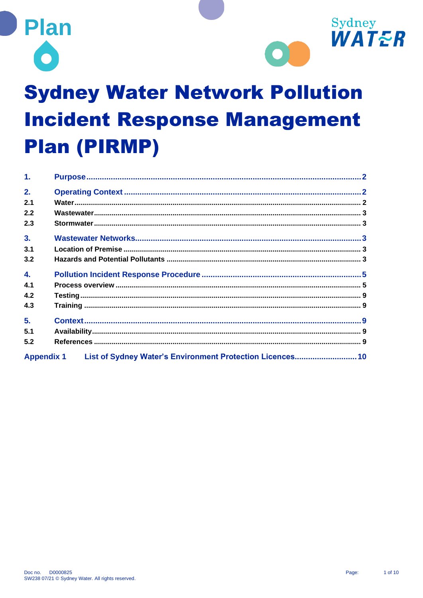



# **Sydney Water Network Pollution Incident Response Management Plan (PIRMP)**

| $\mathbf{1}$ .   |                                                                      |  |
|------------------|----------------------------------------------------------------------|--|
| 2.               |                                                                      |  |
| 2.1              |                                                                      |  |
| 2.2              |                                                                      |  |
| 2.3              |                                                                      |  |
| 3.               |                                                                      |  |
| 3.1              |                                                                      |  |
| 3.2              |                                                                      |  |
| $\overline{4}$ . |                                                                      |  |
| 4.1              |                                                                      |  |
| 4.2              |                                                                      |  |
| 4.3              |                                                                      |  |
| 5.               |                                                                      |  |
| 5.1              |                                                                      |  |
| 5.2              |                                                                      |  |
|                  | Appendix 1 List of Sydney Water's Environment Protection Licences 10 |  |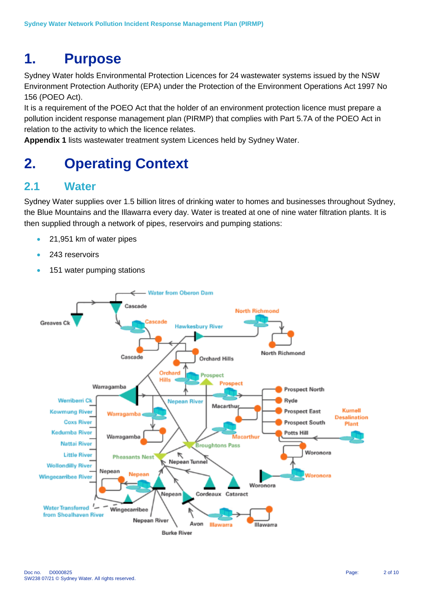# <span id="page-1-0"></span>**1. Purpose**

Sydney Water holds Environmental Protection Licences for 24 wastewater systems issued by the NSW Environment Protection Authority (EPA) under the Protection of the Environment Operations Act 1997 No 156 (POEO Act).

It is a requirement of the POEO Act that the holder of an environment protection licence must prepare a pollution incident response management plan (PIRMP) that complies with Part 5.7A of the POEO Act in relation to the activity to which the licence relates.

**Appendix 1** lists wastewater treatment system Licences held by Sydney Water.

# <span id="page-1-1"></span>**2. Operating Context**

# <span id="page-1-2"></span>**2.1 Water**

Sydney Water supplies over 1.5 billion litres of drinking water to homes and businesses throughout Sydney, the Blue Mountains and the Illawarra every day. Water is treated at one of nine water filtration plants. It is then supplied through a network of pipes, reservoirs and pumping stations:

- 21,951 km of water pipes
- 243 reservoirs
- 151 water pumping stations

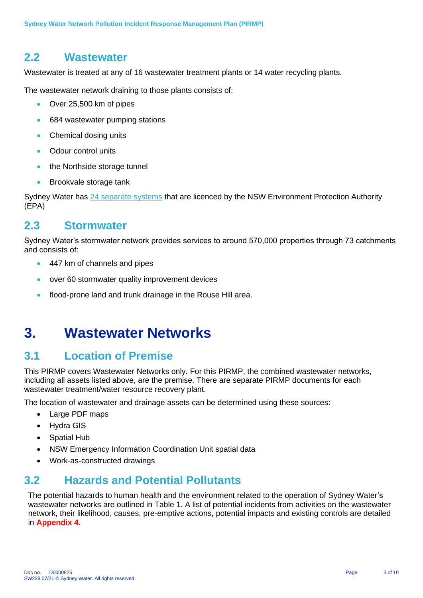## <span id="page-2-0"></span>**2.2 Wastewater**

Wastewater is treated at any of 16 wastewater treatment plants or 14 water recycling plants.

The wastewater network draining to those plants consists of:

- Over 25,500 km of pipes
- 684 wastewater pumping stations
- Chemical dosing units
- Odour control units
- the Northside storage tunnel
- Brookvale storage tank

Sydney Water has [24 separate systems](http://www.sydneywater.com.au/web/groups/publicwebcontent/documents/webasset/zgrf/mdq1/~edisp/dd_045245.pdf) that are licenced by the NSW Environment Protection Authority (EPA)

#### <span id="page-2-1"></span>**2.3 Stormwater**

Sydney Water's stormwater network provides services to around 570,000 properties through 73 catchments and consists of:

- 447 km of channels and pipes
- over 60 stormwater quality improvement devices
- flood-prone land and trunk drainage in the Rouse Hill area.

# <span id="page-2-2"></span>**3. Wastewater Networks**

### <span id="page-2-3"></span>**3.1 Location of Premise**

This PIRMP covers Wastewater Networks only. For this PIRMP, the combined wastewater networks, including all assets listed above, are the premise. There are separate PIRMP documents for each wastewater treatment/water resource recovery plant.

The location of wastewater and drainage assets can be determined using these sources:

- Large PDF maps
- Hydra GIS
- **Spatial Hub**
- NSW Emergency Information Coordination Unit spatial data
- Work-as-constructed drawings

# <span id="page-2-4"></span>**3.2 Hazards and Potential Pollutants**

The potential hazards to human health and the environment related to the operation of Sydney Water's wastewater networks are outlined in Table 1. A list of potential incidents from activities on the wastewater network, their likelihood, causes, pre-emptive actions, potential impacts and existing controls are detailed in **Appendix 4**.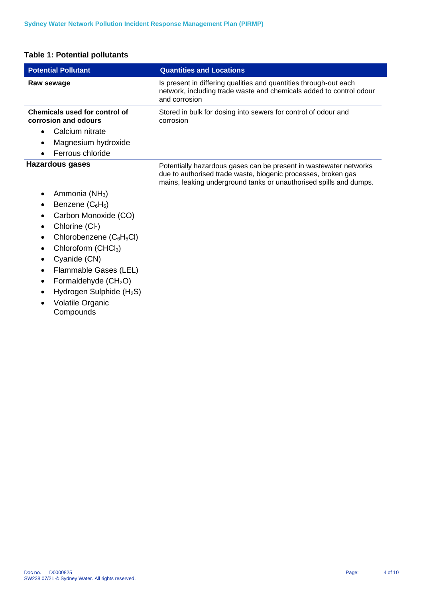#### **Table 1: Potential pollutants**

l,

l,

| <b>Potential Pollutant</b>                                   | <b>Quantities and Locations</b>                                                                                                                                                                          |
|--------------------------------------------------------------|----------------------------------------------------------------------------------------------------------------------------------------------------------------------------------------------------------|
| Raw sewage                                                   | Is present in differing qualities and quantities through-out each<br>network, including trade waste and chemicals added to control odour<br>and corrosion                                                |
| <b>Chemicals used for control of</b><br>corrosion and odours | Stored in bulk for dosing into sewers for control of odour and<br>corrosion                                                                                                                              |
| Calcium nitrate<br>$\bullet$                                 |                                                                                                                                                                                                          |
| Magnesium hydroxide                                          |                                                                                                                                                                                                          |
| Ferrous chloride                                             |                                                                                                                                                                                                          |
| <b>Hazardous gases</b>                                       | Potentially hazardous gases can be present in wastewater networks<br>due to authorised trade waste, biogenic processes, broken gas<br>mains, leaking underground tanks or unauthorised spills and dumps. |
| Ammonia (NH <sub>3</sub> )<br>$\bullet$                      |                                                                                                                                                                                                          |
| Benzene $(C_6H_6)$                                           |                                                                                                                                                                                                          |
| Carbon Monoxide (CO)<br>$\bullet$                            |                                                                                                                                                                                                          |
| Chlorine (Cl-)<br>$\bullet$                                  |                                                                                                                                                                                                          |
| Chlorobenzene $(C_6H_5Cl)$<br>$\bullet$                      |                                                                                                                                                                                                          |
| Chloroform (CHCl <sub>3</sub> )                              |                                                                                                                                                                                                          |
| Cyanide (CN)                                                 |                                                                                                                                                                                                          |
| Flammable Gases (LEL)<br>٠                                   |                                                                                                                                                                                                          |
| Formaldehyde (CH <sub>2</sub> O)                             |                                                                                                                                                                                                          |
| Hydrogen Sulphide (H <sub>2</sub> S)                         |                                                                                                                                                                                                          |
| Volatile Organic<br>Compounds                                |                                                                                                                                                                                                          |
|                                                              |                                                                                                                                                                                                          |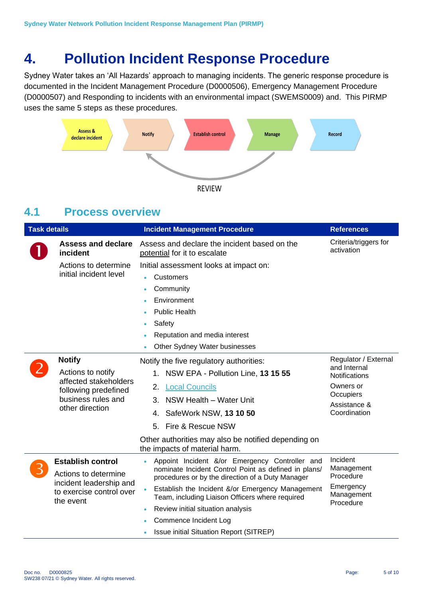# <span id="page-4-0"></span>**4. Pollution Incident Response Procedure**

Sydney Water takes an 'All Hazards' approach to managing incidents. The generic response procedure is documented in the Incident Management Procedure (D0000506), Emergency Management Procedure (D0000507) and Responding to incidents with an environmental impact (SWEMS0009) and. This PIRMP uses the same 5 steps as these procedures.



### <span id="page-4-1"></span>**4.1 Process overview**

| <b>Task details</b> |                                                                                                                              | <b>Incident Management Procedure</b>                                                                                                                                                                                                                                                                                                                                                    | <b>References</b>                                                                                                      |
|---------------------|------------------------------------------------------------------------------------------------------------------------------|-----------------------------------------------------------------------------------------------------------------------------------------------------------------------------------------------------------------------------------------------------------------------------------------------------------------------------------------------------------------------------------------|------------------------------------------------------------------------------------------------------------------------|
|                     | <b>Assess and declare</b><br>incident                                                                                        | Assess and declare the incident based on the<br>potential for it to escalate                                                                                                                                                                                                                                                                                                            | Criteria/triggers for<br>activation                                                                                    |
|                     | Actions to determine<br>initial incident level                                                                               | Initial assessment looks at impact on:<br>Customers<br>Community<br>Environment<br><b>Public Health</b><br>Safety<br>Reputation and media interest<br>Other Sydney Water businesses                                                                                                                                                                                                     |                                                                                                                        |
|                     | <b>Notify</b><br>Actions to notify<br>affected stakeholders<br>following predefined<br>business rules and<br>other direction | Notify the five regulatory authorities:<br>1. NSW EPA - Pollution Line, 13 15 55<br>2.<br><b>Local Councils</b><br>3. NSW Health - Water Unit<br>4. SafeWork NSW, 13 10 50<br>5. Fire & Rescue NSW<br>Other authorities may also be notified depending on<br>the impacts of material harm.                                                                                              | Regulator / External<br>and Internal<br><b>Notifications</b><br>Owners or<br>Occupiers<br>Assistance &<br>Coordination |
|                     | <b>Establish control</b><br>Actions to determine<br>incident leadership and<br>to exercise control over<br>the event         | Appoint Incident &/or Emergency Controller and<br>nominate Incident Control Point as defined in plans/<br>procedures or by the direction of a Duty Manager<br>Establish the Incident &/or Emergency Management<br>$\bullet$<br>Team, including Liaison Officers where required<br>Review initial situation analysis<br>Commence Incident Log<br>Issue initial Situation Report (SITREP) | Incident<br>Management<br>Procedure<br>Emergency<br>Management<br>Procedure                                            |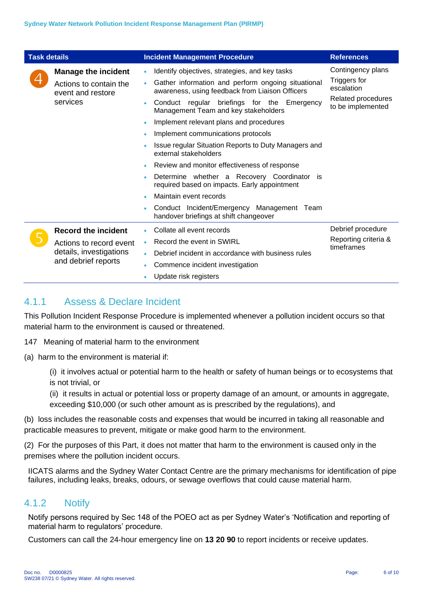| <b>Task details</b> |                                                                                                         | <b>Incident Management Procedure</b>                                                                                                                                                                                                                                                                                                                                                                                                                                                                                                                                                                                                                                                                             | <b>References</b>                                                                          |
|---------------------|---------------------------------------------------------------------------------------------------------|------------------------------------------------------------------------------------------------------------------------------------------------------------------------------------------------------------------------------------------------------------------------------------------------------------------------------------------------------------------------------------------------------------------------------------------------------------------------------------------------------------------------------------------------------------------------------------------------------------------------------------------------------------------------------------------------------------------|--------------------------------------------------------------------------------------------|
|                     | <b>Manage the incident</b><br>Actions to contain the<br>event and restore<br>services                   | Identify objectives, strategies, and key tasks<br>٠<br>Gather information and perform ongoing situational<br>$\bullet$<br>awareness, using feedback from Liaison Officers<br>Conduct regular briefings for the Emergency<br>Management Team and key stakeholders<br>Implement relevant plans and procedures<br>$\bullet$<br>Implement communications protocols<br>Issue regular Situation Reports to Duty Managers and<br>external stakeholders<br>Review and monitor effectiveness of response<br>Determine whether a Recovery Coordinator is<br>required based on impacts. Early appointment<br>Maintain event records<br>Conduct Incident/Emergency Management Team<br>handover briefings at shift changeover | Contingency plans<br>Triggers for<br>escalation<br>Related procedures<br>to be implemented |
|                     | <b>Record the incident</b><br>Actions to record event<br>details, investigations<br>and debrief reports | Collate all event records<br>Record the event in SWIRL<br>٠<br>Debrief incident in accordance with business rules<br>٠<br>Commence incident investigation<br>٠<br>Update risk registers                                                                                                                                                                                                                                                                                                                                                                                                                                                                                                                          | Debrief procedure<br>Reporting criteria &<br>timeframes                                    |

#### 4.1.1 Assess & Declare Incident

This Pollution Incident Response Procedure is implemented whenever a pollution incident occurs so that material harm to the environment is caused or threatened.

147 Meaning of material harm to the environment

(a) harm to the environment is material if:

(i) it involves actual or potential harm to the health or safety of human beings or to ecosystems that is not trivial, or

(ii) it results in actual or potential loss or property damage of an amount, or amounts in aggregate, exceeding \$10,000 (or such other amount as is prescribed by the regulations), and

(b) loss includes the reasonable costs and expenses that would be incurred in taking all reasonable and practicable measures to prevent, mitigate or make good harm to the environment.

(2) For the purposes of this Part, it does not matter that harm to the environment is caused only in the premises where the pollution incident occurs.

IICATS alarms and the Sydney Water Contact Centre are the primary mechanisms for identification of pipe failures, including leaks, breaks, odours, or sewage overflows that could cause material harm.

#### 4.1.2 Notify

Notify persons required by Sec 148 of the POEO act as per Sydney Water's 'Notification and reporting of material harm to regulators' procedure.

Customers can call the 24-hour emergency line on **13 20 90** to report incidents or receive updates.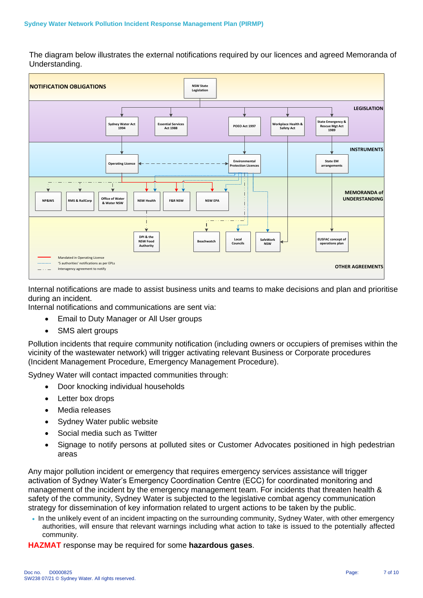The diagram below illustrates the external notifications required by our licences and agreed Memoranda of Understanding.



Internal notifications are made to assist business units and teams to make decisions and plan and prioritise during an incident.

Internal notifications and communications are sent via:

- Email to Duty Manager or All User groups
- SMS alert groups

Pollution incidents that require community notification (including owners or occupiers of premises within the vicinity of the wastewater network) will trigger activating relevant Business or Corporate procedures (Incident Management Procedure, Emergency Management Procedure).

Sydney Water will contact impacted communities through:

- Door knocking individual households
- Letter box drops
- Media releases
- Sydney Water public website
- Social media such as Twitter
- Signage to notify persons at polluted sites or Customer Advocates positioned in high pedestrian areas

Any major pollution incident or emergency that requires emergency services assistance will trigger activation of Sydney Water's Emergency Coordination Centre (ECC) for coordinated monitoring and management of the incident by the emergency management team. For incidents that threaten health & safety of the community, Sydney Water is subjected to the legislative combat agency communication strategy for dissemination of key information related to urgent actions to be taken by the public.

• In the unlikely event of an incident impacting on the surrounding community, Sydney Water, with other emergency authorities, will ensure that relevant warnings including what action to take is issued to the potentially affected community.

**HAZMAT** response may be required for some **hazardous gases**.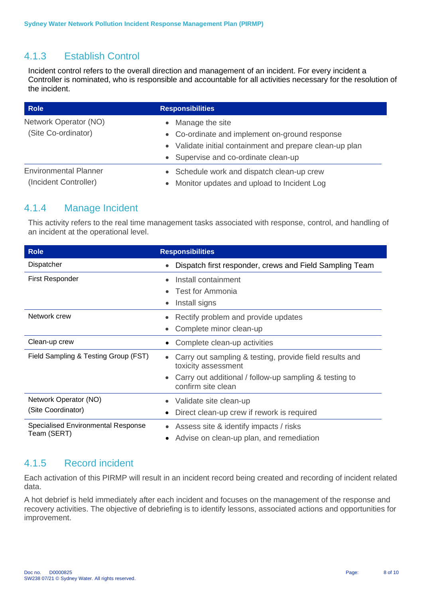#### 4.1.3 Establish Control

Incident control refers to the overall direction and management of an incident. For every incident a Controller is nominated, who is responsible and accountable for all activities necessary for the resolution of the incident.

| <b>Role</b>                                           | <b>Responsibilities</b>                                                                                                                                                 |  |
|-------------------------------------------------------|-------------------------------------------------------------------------------------------------------------------------------------------------------------------------|--|
| Network Operator (NO)<br>(Site Co-ordinator)          | • Manage the site<br>• Co-ordinate and implement on-ground response<br>• Validate initial containment and prepare clean-up plan<br>• Supervise and co-ordinate clean-up |  |
| <b>Environmental Planner</b><br>(Incident Controller) | • Schedule work and dispatch clean-up crew<br>Monitor updates and upload to Incident Log<br>$\bullet$                                                                   |  |

#### 4.1.4 Manage Incident

This activity refers to the real time management tasks associated with response, control, and handling of an incident at the operational level.

| <b>Role</b>                          | <b>Responsibilities</b>                                                                     |
|--------------------------------------|---------------------------------------------------------------------------------------------|
| Dispatcher                           | Dispatch first responder, crews and Field Sampling Team<br>$\bullet$                        |
| <b>First Responder</b>               | Install containment<br>$\bullet$                                                            |
|                                      | Test for Ammonia<br>$\bullet$                                                               |
|                                      | Install signs<br>$\bullet$                                                                  |
| Network crew                         | Rectify problem and provide updates<br>$\bullet$                                            |
|                                      | Complete minor clean-up<br>$\bullet$                                                        |
| Clean-up crew                        | Complete clean-up activities<br>$\bullet$                                                   |
| Field Sampling & Testing Group (FST) | Carry out sampling & testing, provide field results and<br>$\bullet$<br>toxicity assessment |
|                                      | Carry out additional / follow-up sampling & testing to<br>$\bullet$<br>confirm site clean   |
| Network Operator (NO)                | Validate site clean-up<br>$\bullet$                                                         |
| (Site Coordinator)                   | Direct clean-up crew if rework is required<br>$\bullet$                                     |
| Specialised Environmental Response   | Assess site & identify impacts / risks<br>$\bullet$                                         |
| Team (SERT)                          | Advise on clean-up plan, and remediation<br>٠                                               |

#### 4.1.5 Record incident

Each activation of this PIRMP will result in an incident record being created and recording of incident related data.

A hot debrief is held immediately after each incident and focuses on the management of the response and recovery activities. The objective of debriefing is to identify lessons, associated actions and opportunities for improvement.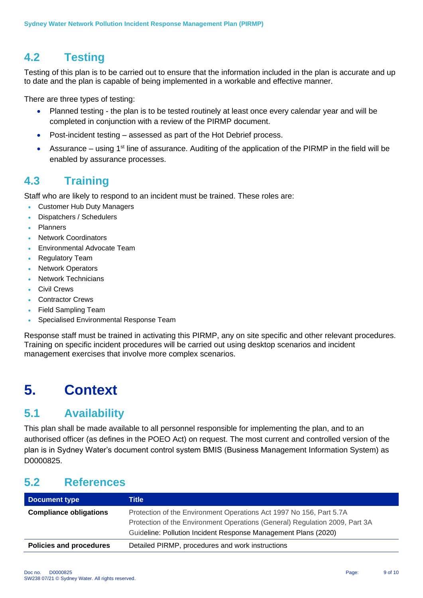# <span id="page-8-0"></span>**4.2 Testing**

Testing of this plan is to be carried out to ensure that the information included in the plan is accurate and up to date and the plan is capable of being implemented in a workable and effective manner.

There are three types of testing:

- Planned testing the plan is to be tested routinely at least once every calendar year and will be completed in conjunction with a review of the PIRMP document.
- Post-incident testing assessed as part of the Hot Debrief process.
- Assurance using  $1<sup>st</sup>$  line of assurance. Auditing of the application of the PIRMP in the field will be enabled by assurance processes.

### <span id="page-8-1"></span>**4.3 Training**

Staff who are likely to respond to an incident must be trained. These roles are:

- Customer Hub Duty Managers
- Dispatchers / Schedulers
- Planners
- Network Coordinators
- Environmental Advocate Team
- Regulatory Team
- **Network Operators**
- Network Technicians
- Civil Crews
- Contractor Crews
- Field Sampling Team
- Specialised Environmental Response Team

Response staff must be trained in activating this PIRMP, any on site specific and other relevant procedures. Training on specific incident procedures will be carried out using desktop scenarios and incident management exercises that involve more complex scenarios.

# <span id="page-8-2"></span>**5. Context**

# <span id="page-8-3"></span>**5.1 Availability**

This plan shall be made available to all personnel responsible for implementing the plan, and to an authorised officer (as defines in the POEO Act) on request. The most current and controlled version of the plan is in Sydney Water's document control system BMIS (Business Management Information System) as D0000825.

### <span id="page-8-4"></span>**5.2 References**

| Document type                  | Title                                                                       |
|--------------------------------|-----------------------------------------------------------------------------|
| <b>Compliance obligations</b>  | Protection of the Environment Operations Act 1997 No 156, Part 5.7A         |
|                                | Protection of the Environment Operations (General) Regulation 2009, Part 3A |
|                                | Guideline: Pollution Incident Response Management Plans (2020)              |
| <b>Policies and procedures</b> | Detailed PIRMP, procedures and work instructions                            |